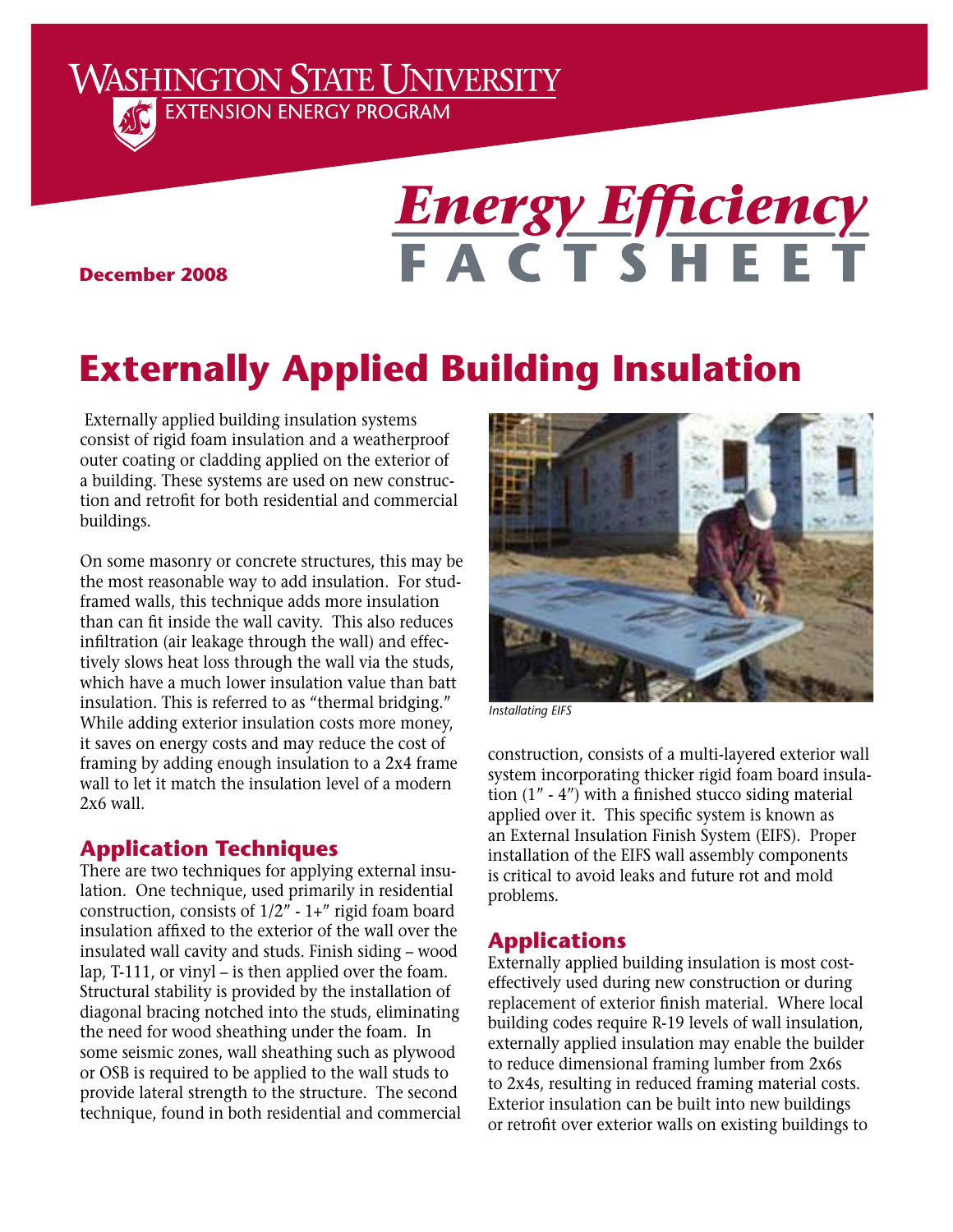**WASHINGTON STATE UNIVERSITY EXTENSION ENERGY PROGRAM** 



# **Energy Efficiency**<br> **F A C T S H E E T**

**December 2008**

# **Externally Applied Building Insulation**

 Externally applied building insulation systems consist of rigid foam insulation and a weatherproof outer coating or cladding applied on the exterior of a building. These systems are used on new construction and retrofit for both residential and commercial buildings.

On some masonry or concrete structures, this may be the most reasonable way to add insulation. For studframed walls, this technique adds more insulation than can fit inside the wall cavity. This also reduces infiltration (air leakage through the wall) and effectively slows heat loss through the wall via the studs, which have a much lower insulation value than batt insulation. This is referred to as "thermal bridging." While adding exterior insulation costs more money, it saves on energy costs and may reduce the cost of framing by adding enough insulation to a 2x4 frame wall to let it match the insulation level of a modern 2x6 wall.

# **Application Techniques**

There are two techniques for applying external insulation. One technique, used primarily in residential construction, consists of  $1/2$ " - 1+" rigid foam board insulation affixed to the exterior of the wall over the insulated wall cavity and studs. Finish siding – wood lap, T-111, or vinyl – is then applied over the foam. Structural stability is provided by the installation of diagonal bracing notched into the studs, eliminating the need for wood sheathing under the foam. In some seismic zones, wall sheathing such as plywood or OSB is required to be applied to the wall studs to provide lateral strength to the structure. The second technique, found in both residential and commercial



*Installating EIFS*

construction, consists of a multi-layered exterior wall system incorporating thicker rigid foam board insulation (1" - 4") with a finished stucco siding material applied over it. This specific system is known as an External Insulation Finish System (EIFS). Proper installation of the EIFS wall assembly components is critical to avoid leaks and future rot and mold problems.

## **Applications**

Externally applied building insulation is most costeffectively used during new construction or during replacement of exterior finish material. Where local building codes require R-19 levels of wall insulation, externally applied insulation may enable the builder to reduce dimensional framing lumber from 2x6s to 2x4s, resulting in reduced framing material costs. Exterior insulation can be built into new buildings or retrofit over exterior walls on existing buildings to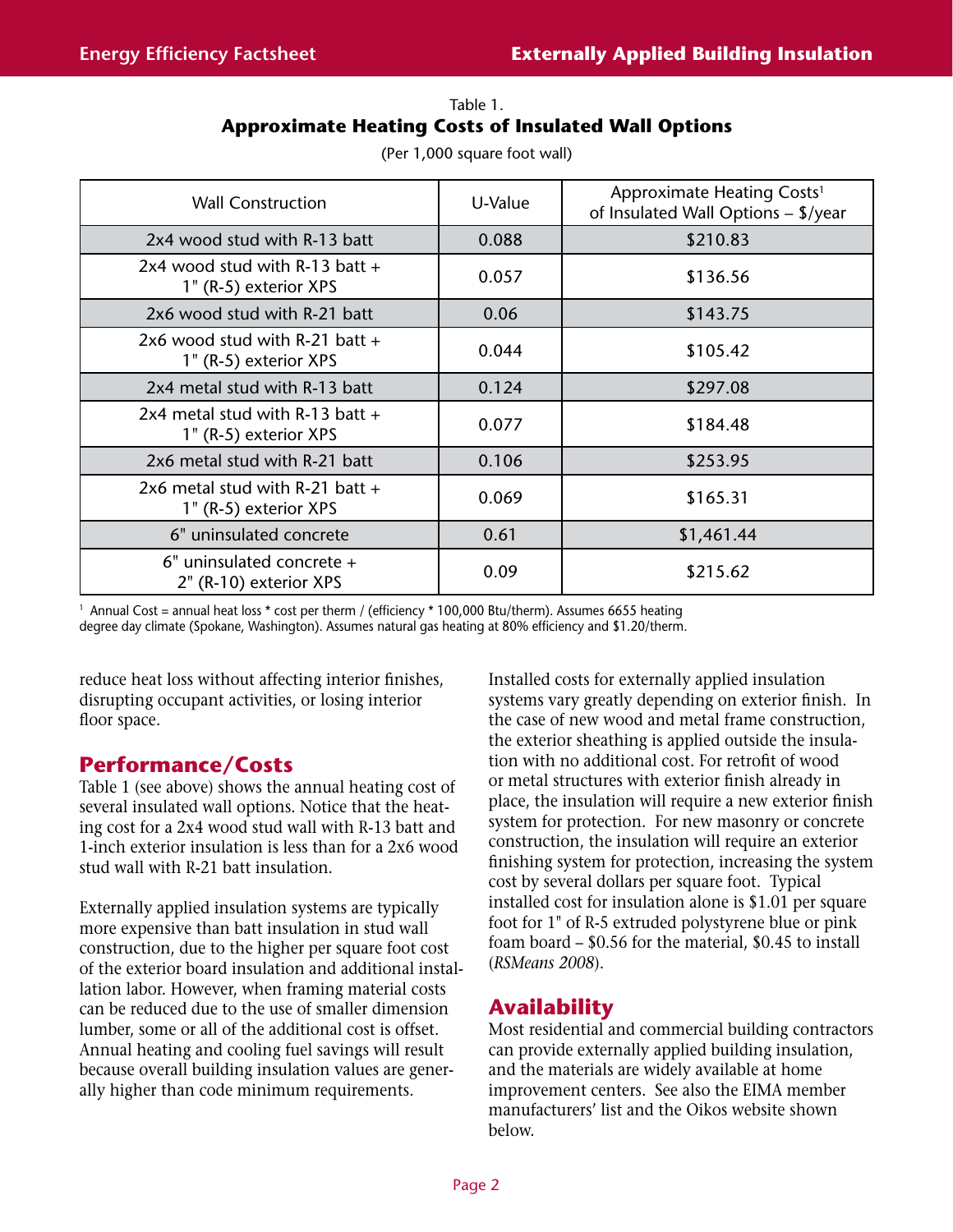#### Table 1. **Approximate Heating Costs of Insulated Wall Options**

| <b>Wall Construction</b>                                   | U-Value | Approximate Heating Costs <sup>1</sup><br>of Insulated Wall Options - \$/year |
|------------------------------------------------------------|---------|-------------------------------------------------------------------------------|
| 2x4 wood stud with R-13 batt                               | 0.088   | \$210.83                                                                      |
| 2x4 wood stud with R-13 batt $+$<br>1" (R-5) exterior XPS  | 0.057   | \$136.56                                                                      |
| 2x6 wood stud with R-21 batt                               | 0.06    | \$143.75                                                                      |
| 2x6 wood stud with R-21 batt $+$<br>1" (R-5) exterior XPS  | 0.044   | \$105.42                                                                      |
| 2x4 metal stud with R-13 batt                              | 0.124   | \$297.08                                                                      |
| 2x4 metal stud with R-13 batt $+$<br>1" (R-5) exterior XPS | 0.077   | \$184.48                                                                      |
| 2x6 metal stud with R-21 batt                              | 0.106   | \$253.95                                                                      |
| 2x6 metal stud with R-21 batt $+$<br>1" (R-5) exterior XPS | 0.069   | \$165.31                                                                      |
| 6" uninsulated concrete                                    | 0.61    | \$1,461.44                                                                    |
| $6"$ uninsulated concrete $+$<br>2" (R-10) exterior XPS    | 0.09    | \$215.62                                                                      |

(Per 1,000 square foot wall)

<sup>1</sup> Annual Cost = annual heat loss \* cost per therm / (efficiency \* 100,000 Btu/therm). Assumes 6655 heating degree day climate (Spokane, Washington). Assumes natural gas heating at 80% efficiency and \$1.20/therm.

reduce heat loss without affecting interior finishes, disrupting occupant activities, or losing interior floor space.

# **Performance/Costs**

Table 1 (see above) shows the annual heating cost of several insulated wall options. Notice that the heating cost for a 2x4 wood stud wall with R-13 batt and 1-inch exterior insulation is less than for a 2x6 wood stud wall with R-21 batt insulation.

Externally applied insulation systems are typically more expensive than batt insulation in stud wall construction, due to the higher per square foot cost of the exterior board insulation and additional installation labor. However, when framing material costs can be reduced due to the use of smaller dimension lumber, some or all of the additional cost is offset. Annual heating and cooling fuel savings will result because overall building insulation values are generally higher than code minimum requirements.

Installed costs for externally applied insulation systems vary greatly depending on exterior finish. In the case of new wood and metal frame construction, the exterior sheathing is applied outside the insulation with no additional cost. For retrofit of wood or metal structures with exterior finish already in place, the insulation will require a new exterior finish system for protection. For new masonry or concrete construction, the insulation will require an exterior finishing system for protection, increasing the system cost by several dollars per square foot. Typical installed cost for insulation alone is \$1.01 per square foot for 1" of R-5 extruded polystyrene blue or pink foam board – \$0.56 for the material, \$0.45 to install (*RSMeans 2008*).

# **Availability**

Most residential and commercial building contractors can provide externally applied building insulation, and the materials are widely available at home improvement centers. See also the EIMA member manufacturers' list and the Oikos website shown below.